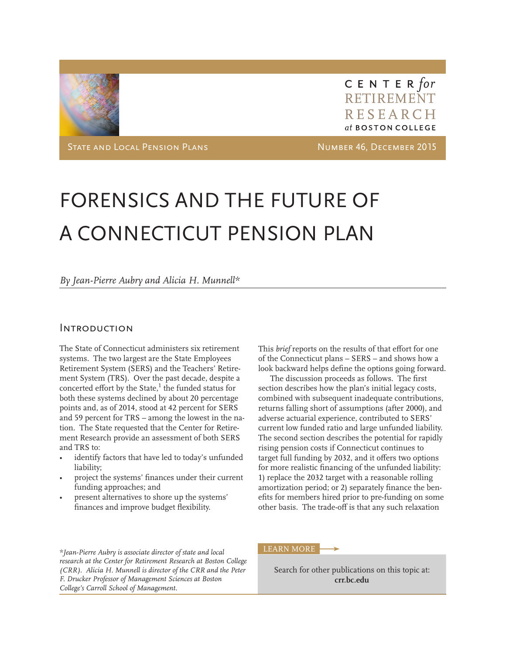

CENTER for RETIREMENT RESEARCH at BOSTON COLLEGE

STATE AND LOCAL PENSION PLANS NUMBER 46, DECEMBER 2015

# FORENSICS AND THE FUTURE OF A CONNECTICUT PENSION PLAN

*By Jean-Pierre Aubry and Alicia H. Munnell\**

# **INTRODUCTION**

The State of Connecticut administers six retirement systems. The two largest are the State Employees Retirement System (SERS) and the Teachers' Retirement System (TRS). Over the past decade, despite a concerted effort by the State,<sup>1</sup> the funded status for both these systems declined by about 20 percentage points and, as of 2014, stood at 42 percent for SERS and 59 percent for TRS – among the lowest in the nation. The State requested that the Center for Retirement Research provide an assessment of both SERS and TRS to:

- identify factors that have led to today's unfunded liability;
- project the systems' finances under their current funding approaches; and
- present alternatives to shore up the systems' finances and improve budget flexibility.

This *brief* reports on the results of that effort for one of the Connecticut plans – SERS – and shows how a look backward helps define the options going forward.

The discussion proceeds as follows. The first section describes how the plan's initial legacy costs, combined with subsequent inadequate contributions, returns falling short of assumptions (after 2000), and adverse actuarial experience, contributed to SERS' current low funded ratio and large unfunded liability. The second section describes the potential for rapidly rising pension costs if Connecticut continues to target full funding by 2032, and it offers two options for more realistic financing of the unfunded liability: 1) replace the 2032 target with a reasonable rolling amortization period; or 2) separately finance the benefits for members hired prior to pre-funding on some other basis. The trade-off is that any such relaxation

*\*Jean-Pierre Aubry is associate director of state and local research at the Center for Retirement Research at Boston College (CRR). Alicia H. Munnell is director of the CRR and the Peter F. Drucker Professor of Management Sciences at Boston College's Carroll School of Management.* 

#### LEARN MORE

Search for other publications on this topic at: **crr.bc.edu**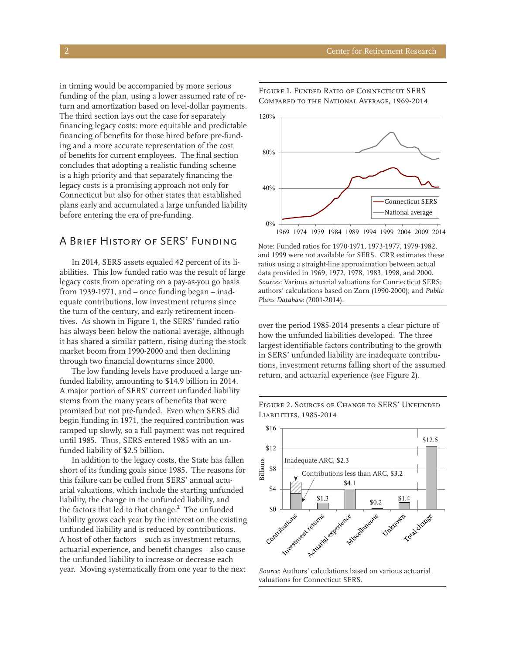in timing would be accompanied by more serious funding of the plan, using a lower assumed rate of return and amortization based on level-dollar payments. The third section lays out the case for separately financing legacy costs: more equitable and predictable financing of benefits for those hired before pre-funding and a more accurate representation of the cost of benefits for current employees. The final section concludes that adopting a realistic funding scheme is a high priority and that separately financing the legacy costs is a promising approach not only for Connecticut but also for other states that established plans early and accumulated a large unfunded liability before entering the era of pre-funding.

# A Brief History of SERS' Funding

In 2014, SERS assets equaled 42 percent of its liabilities. This low funded ratio was the result of large legacy costs from operating on a pay-as-you go basis from 1939-1971, and – once funding began – inadequate contributions, low investment returns since the turn of the century, and early retirement incentives. As shown in Figure 1, the SERS' funded ratio has always been below the national average, although it has shared a similar pattern, rising during the stock market boom from 1990-2000 and then declining through two financial downturns since 2000.

The low funding levels have produced a large unfunded liability, amounting to \$14.9 billion in 2014. A major portion of SERS' current unfunded liability stems from the many years of benefits that were promised but not pre-funded. Even when SERS did begin funding in 1971, the required contribution was ramped up slowly, so a full payment was not required until 1985. Thus, SERS entered 1985 with an unfunded liability of \$2.5 billion.

In addition to the legacy costs, the State has fallen short of its funding goals since 1985. The reasons for this failure can be culled from SERS' annual actuarial valuations, which include the starting unfunded liability, the change in the unfunded liability, and the factors that led to that change.<sup>2</sup> The unfunded liability grows each year by the interest on the existing unfunded liability and is reduced by contributions. A host of other factors – such as investment returns, actuarial experience, and benefit changes – also cause the unfunded liability to increase or decrease each year. Moving systematically from one year to the next



Figure 1. Funded Ratio of Connecticut SERS Compared to the National Average, 1969-2014

Note: Funded ratios for 1970-1971, 1973-1977, 1979-1982, and 1999 were not available for SERS. CRR estimates these ratios using a straight-line approximation between actual data provided in 1969, 1972, 1978, 1983, 1998, and 2000. *Sources*: Various actuarial valuations for Connecticut SERS; authors' calculations based on Zorn (1990-2000); and *Public Plans Database* (2001-2014).

over the period 1985-2014 presents a clear picture of how the unfunded liabilities developed. The three largest identifiable factors contributing to the growth in SERS' unfunded liability are inadequate contributions, investment returns falling short of the assumed return, and actuarial experience (see Figure 2).

Figure 2. Sources of Change to SERS' Unfunded Liabilities, 1985-2014



*Source*: Authors' calculations based on various actuarial valuations for Connecticut SERS.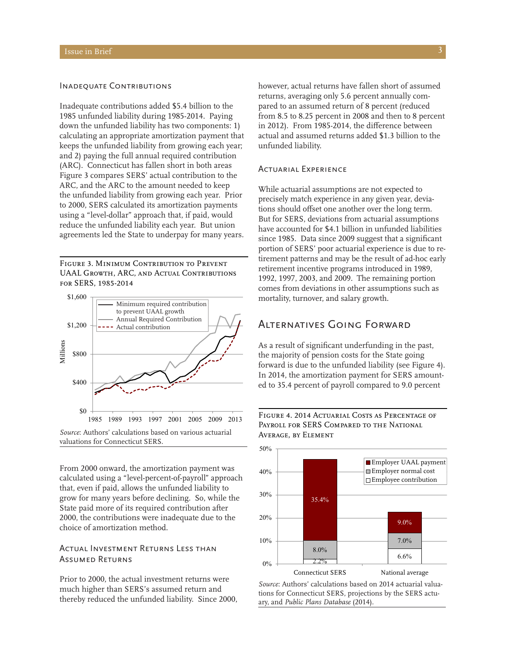### INADEQUATE CONTRIBUTIONS

Inadequate contributions added \$5.4 billion to the 1985 unfunded liability during 1985-2014. Paying down the unfunded liability has two components: 1) calculating an appropriate amortization payment that keeps the unfunded liability from growing each year; and 2) paying the full annual required contribution (ARC). Connecticut has fallen short in both areas Figure 3 compares SERS' actual contribution to the ARC, and the ARC to the amount needed to keep the unfunded liability from growing each year. Prior to 2000, SERS calculated its amortization payments using a "level-dollar" approach that, if paid, would reduce the unfunded liability each year. But union agreements led the State to underpay for many years.

Figure 3. Minimum Contribution to Prevent UAAL Growth, ARC, and Actual Contributions for SERS, 1985-2014



*Source*: Authors' calculations based on various actuarial valuations for Connecticut SERS.

From 2000 onward, the amortization payment was calculated using a "level-percent-of-payroll" approach that, even if paid, allows the unfunded liability to grow for many years before declining. So, while the State paid more of its required contribution after 2000, the contributions were inadequate due to the choice of amortization method.

### Actual Investment Returns Less than Assumed Returns

Prior to 2000, the actual investment returns were much higher than SERS's assumed return and thereby reduced the unfunded liability. Since 2000, however, actual returns have fallen short of assumed returns, averaging only 5.6 percent annually compared to an assumed return of 8 percent (reduced from 8.5 to 8.25 percent in 2008 and then to 8 percent in 2012). From 1985-2014, the difference between actual and assumed returns added \$1.3 billion to the unfunded liability.

### Actuarial Experience

While actuarial assumptions are not expected to precisely match experience in any given year, deviations should offset one another over the long term. But for SERS, deviations from actuarial assumptions have accounted for \$4.1 billion in unfunded liabilities since 1985. Data since 2009 suggest that a significant portion of SERS' poor actuarial experience is due to retirement patterns and may be the result of ad-hoc early retirement incentive programs introduced in 1989, 1992, 1997, 2003, and 2009. The remaining portion comes from deviations in other assumptions such as mortality, turnover, and salary growth.

# Alternatives Going Forward

As a result of significant underfunding in the past, the majority of pension costs for the State going forward is due to the unfunded liability (see Figure 4). In 2014, the amortization payment for SERS amounted to 35.4 percent of payroll compared to 9.0 percent





*Source*: Authors' calculations based on 2014 actuarial valuations for Connecticut SERS, projections by the SERS actuary, and *Public Plans Database* (2014).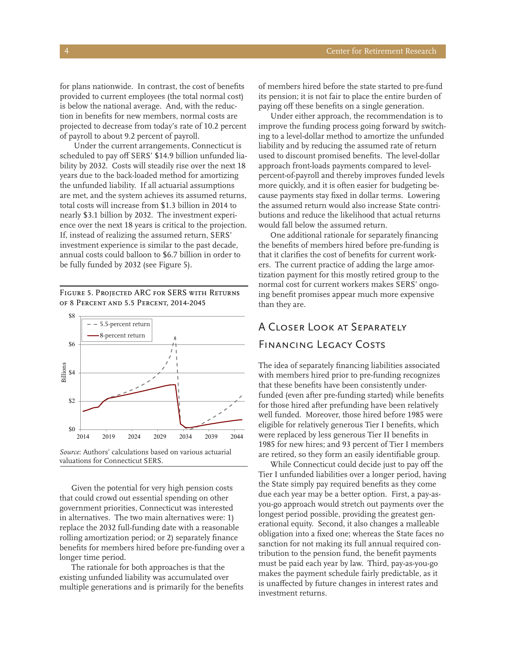for plans nationwide. In contrast, the cost of benefits provided to current employees (the total normal cost) is below the national average. And, with the reduction in benefits for new members, normal costs are projected to decrease from today's rate of 10.2 percent of payroll to about 9.2 percent of payroll.

 Under the current arrangements, Connecticut is scheduled to pay off SERS' \$14.9 billion unfunded liability by 2032. Costs will steadily rise over the next 18 years due to the back-loaded method for amortizing the unfunded liability. If all actuarial assumptions are met, and the system achieves its assumed returns, total costs will increase from \$1.3 billion in 2014 to nearly \$3.1 billion by 2032. The investment experience over the next 18 years is critical to the projection. If, instead of realizing the assumed return, SERS' investment experience is similar to the past decade, annual costs could balloon to \$6.7 billion in order to be fully funded by 2032 (see Figure 5).

Figure 5. Projected ARC for SERS with Returns of 8 Percent and 5.5 Percent, 2014-2045



Given the potential for very high pension costs that could crowd out essential spending on other government priorities, Connecticut was interested in alternatives. The two main alternatives were: 1) replace the 2032 full-funding date with a reasonable rolling amortization period; or 2) separately finance benefits for members hired before pre-funding over a longer time period.

The rationale for both approaches is that the existing unfunded liability was accumulated over multiple generations and is primarily for the benefits of members hired before the state started to pre-fund its pension; it is not fair to place the entire burden of paying off these benefits on a single generation.

Under either approach, the recommendation is to improve the funding process going forward by switching to a level-dollar method to amortize the unfunded liability and by reducing the assumed rate of return used to discount promised benefits. The level-dollar approach front-loads payments compared to levelpercent-of-payroll and thereby improves funded levels more quickly, and it is often easier for budgeting because payments stay fixed in dollar terms. Lowering the assumed return would also increase State contributions and reduce the likelihood that actual returns would fall below the assumed return.

One additional rationale for separately financing the benefits of members hired before pre-funding is that it clarifies the cost of benefits for current workers. The current practice of adding the large amortization payment for this mostly retired group to the normal cost for current workers makes SERS' ongoing benefit promises appear much more expensive than they are.

# A Closer Look at Separately FINANCING LEGACY COSTS

The idea of separately financing liabilities associated with members hired prior to pre-funding recognizes that these benefits have been consistently underfunded (even after pre-funding started) while benefits for those hired after prefunding have been relatively well funded. Moreover, those hired before 1985 were eligible for relatively generous Tier I benefits, which were replaced by less generous Tier II benefits in 1985 for new hires; and 93 percent of Tier I members are retired, so they form an easily identifiable group.

While Connecticut could decide just to pay off the Tier I unfunded liabilities over a longer period, having the State simply pay required benefits as they come due each year may be a better option. First, a pay-asyou-go approach would stretch out payments over the longest period possible, providing the greatest generational equity. Second, it also changes a malleable obligation into a fixed one; whereas the State faces no sanction for not making its full annual required contribution to the pension fund, the benefit payments must be paid each year by law. Third, pay-as-you-go makes the payment schedule fairly predictable, as it is unaffected by future changes in interest rates and investment returns.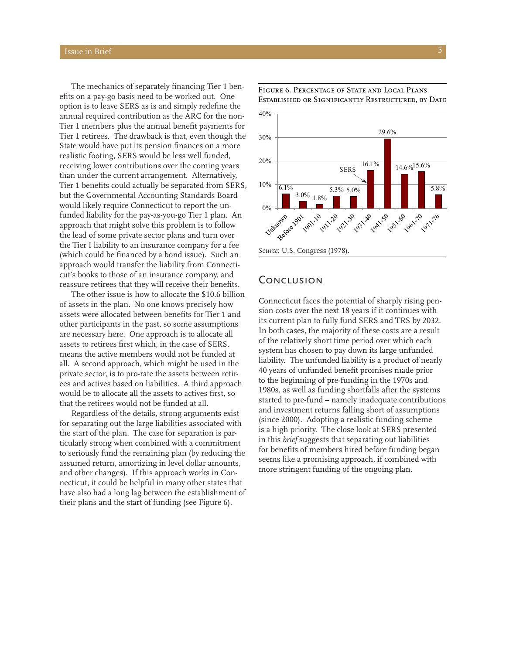The mechanics of separately financing Tier 1 benefits on a pay-go basis need to be worked out. One option is to leave SERS as is and simply redefine the annual required contribution as the ARC for the non-Tier 1 members plus the annual benefit payments for Tier 1 retirees. The drawback is that, even though the State would have put its pension finances on a more realistic footing, SERS would be less well funded, receiving lower contributions over the coming years than under the current arrangement. Alternatively, Tier 1 benefits could actually be separated from SERS, but the Governmental Accounting Standards Board would likely require Connecticut to report the unfunded liability for the pay-as-you-go Tier 1 plan. An approach that might solve this problem is to follow the lead of some private sector plans and turn over the Tier I liability to an insurance company for a fee (which could be financed by a bond issue). Such an approach would transfer the liability from Connecticut's books to those of an insurance company, and reassure retirees that they will receive their benefits.

The other issue is how to allocate the \$10.6 billion of assets in the plan. No one knows precisely how assets were allocated between benefits for Tier 1 and other participants in the past, so some assumptions are necessary here. One approach is to allocate all assets to retirees first which, in the case of SERS, means the active members would not be funded at all. A second approach, which might be used in the private sector, is to pro-rate the assets between retirees and actives based on liabilities. A third approach would be to allocate all the assets to actives first, so that the retirees would not be funded at all.

Regardless of the details, strong arguments exist for separating out the large liabilities associated with the start of the plan. The case for separation is particularly strong when combined with a commitment to seriously fund the remaining plan (by reducing the assumed return, amortizing in level dollar amounts, and other changes). If this approach works in Connecticut, it could be helpful in many other states that have also had a long lag between the establishment of their plans and the start of funding (see Figure 6).



Figure 6. Percentage of State and Local Plans Established or Significantly Restructured, by Date

# **CONCLUSION**

Connecticut faces the potential of sharply rising pension costs over the next 18 years if it continues with its current plan to fully fund SERS and TRS by 2032. In both cases, the majority of these costs are a result of the relatively short time period over which each system has chosen to pay down its large unfunded liability. The unfunded liability is a product of nearly 40 years of unfunded benefit promises made prior to the beginning of pre-funding in the 1970s and 1980s, as well as funding shortfalls after the systems started to pre-fund – namely inadequate contributions and investment returns falling short of assumptions (since 2000). Adopting a realistic funding scheme is a high priority. The close look at SERS presented in this *brief* suggests that separating out liabilities for benefits of members hired before funding began seems like a promising approach, if combined with more stringent funding of the ongoing plan.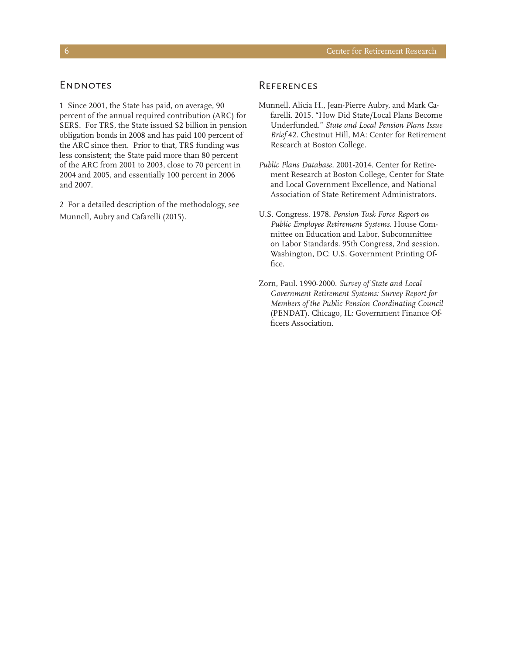### **ENDNOTES**

1 Since 2001, the State has paid, on average, 90 percent of the annual required contribution (ARC) for SERS. For TRS, the State issued \$2 billion in pension obligation bonds in 2008 and has paid 100 percent of the ARC since then. Prior to that, TRS funding was less consistent; the State paid more than 80 percent of the ARC from 2001 to 2003, close to 70 percent in 2004 and 2005, and essentially 100 percent in 2006 and 2007.

2 For a detailed description of the methodology, see Munnell, Aubry and Cafarelli (2015).

# **REFERENCES**

- Munnell, Alicia H., Jean-Pierre Aubry, and Mark Cafarelli. 2015. "How Did State/Local Plans Become Underfunded." *State and Local Pension Plans Issue Brief* 42. Chestnut Hill, MA: Center for Retirement Research at Boston College.
- *Public Plans Database*. 2001-2014. Center for Retirement Research at Boston College, Center for State and Local Government Excellence, and National Association of State Retirement Administrators.
- U.S. Congress. 1978. *Pension Task Force Report on Public Employee Retirement Systems.* House Committee on Education and Labor, Subcommittee on Labor Standards. 95th Congress, 2nd session. Washington, DC: U.S. Government Printing Office.
- Zorn, Paul. 1990-2000. *Survey of State and Local Government Retirement Systems: Survey Report for Members of the Public Pension Coordinating Council*  (PENDAT). Chicago, IL: Government Finance Officers Association.